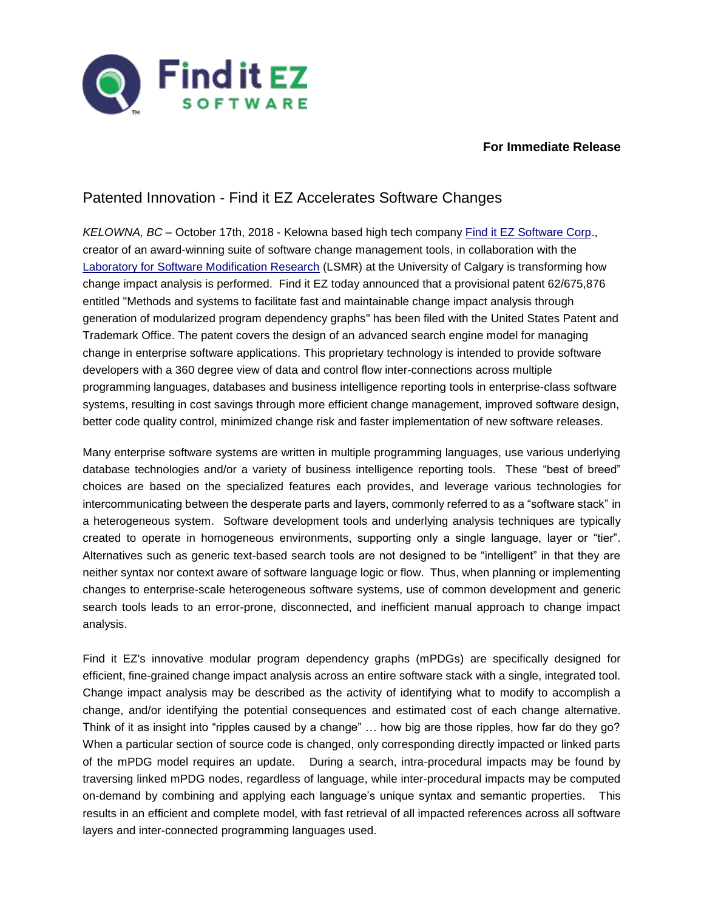

#### **For Immediate Release**

## Patented Innovation - Find it EZ Accelerates Software Changes

*KELOWNA, BC* – October 17th, 2018 - Kelowna based high tech company [Find it EZ Software Corp.](https://www.finditez.com/), creator of an award-winning suite of software change management tools, in collaboration with the [Laboratory for Software Modification Research](https://lsmr.org/collaboration/industrial-collaboration/find-it-ez) (LSMR) at the University of Calgary is transforming how change impact analysis is performed. Find it EZ today announced that a provisional patent 62/675,876 entitled "Methods and systems to facilitate fast and maintainable change impact analysis through generation of modularized program dependency graphs" has been filed with the United States Patent and Trademark Office. The patent covers the design of an advanced search engine model for managing change in enterprise software applications. This proprietary technology is intended to provide software developers with a 360 degree view of data and control flow inter-connections across multiple programming languages, databases and business intelligence reporting tools in enterprise-class software systems, resulting in cost savings through more efficient change management, improved software design, better code quality control, minimized change risk and faster implementation of new software releases.

Many enterprise software systems are written in multiple programming languages, use various underlying database technologies and/or a variety of business intelligence reporting tools. These "best of breed" choices are based on the specialized features each provides, and leverage various technologies for intercommunicating between the desperate parts and layers, commonly referred to as a "software stack" in a heterogeneous system. Software development tools and underlying analysis techniques are typically created to operate in homogeneous environments, supporting only a single language, layer or "tier". Alternatives such as generic text-based search tools are not designed to be "intelligent" in that they are neither syntax nor context aware of software language logic or flow. Thus, when planning or implementing changes to enterprise-scale heterogeneous software systems, use of common development and generic search tools leads to an error-prone, disconnected, and inefficient manual approach to change impact analysis.

Find it EZ's innovative modular program dependency graphs (mPDGs) are specifically designed for efficient, fine-grained change impact analysis across an entire software stack with a single, integrated tool. Change impact analysis may be described as the activity of identifying what to modify to accomplish a change, and/or identifying the potential consequences and estimated cost of each change alternative. Think of it as insight into "ripples caused by a change" … how big are those ripples, how far do they go? When a particular section of source code is changed, only corresponding directly impacted or linked parts of the mPDG model requires an update. During a search, intra-procedural impacts may be found by traversing linked mPDG nodes, regardless of language, while inter-procedural impacts may be computed on-demand by combining and applying each language's unique syntax and semantic properties. This results in an efficient and complete model, with fast retrieval of all impacted references across all software layers and inter-connected programming languages used.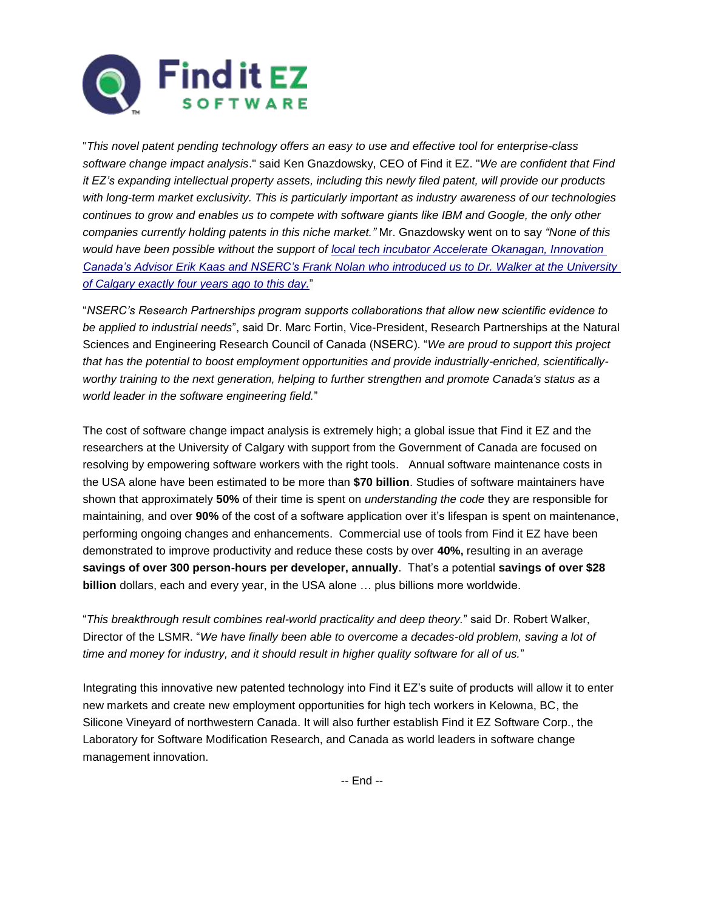

"*This novel patent pending technology offers an easy to use and effective tool for enterprise-class software change impact analysis*." said Ken Gnazdowsky, CEO of Find it EZ. "*We are confident that Find it EZ's expanding intellectual property assets, including this newly filed patent, will provide our products with long-term market exclusivity. This is particularly important as industry awareness of our technologies continues to grow and enables us to compete with software giants like IBM and Google, the only other companies currently holding patents in this niche market."* Mr. Gnazdowsky went on to say *"None of this would have been possible without the support of [local tech incubator Accelerate Okanagan, Innovation](https://www.ic.gc.ca/eic/site/080.nsf/eng/00041.html)  [Canada's Advisor Erik Kaas and NSERC's Frank Nolan who introduced us to Dr. Walker at the University](https://www.ic.gc.ca/eic/site/080.nsf/eng/00041.html)  [of Calgary exactly four years ago to this day.](https://www.ic.gc.ca/eic/site/080.nsf/eng/00041.html)*"

"*NSERC's Research Partnerships program supports collaborations that allow new scientific evidence to be applied to industrial needs*", said Dr. Marc Fortin, Vice-President, Research Partnerships at the Natural Sciences and Engineering Research Council of Canada (NSERC). "*We are proud to support this project that has the potential to boost employment opportunities and provide industrially-enriched, scientificallyworthy training to the next generation, helping to further strengthen and promote Canada's status as a world leader in the software engineering field.*"

The cost of software change impact analysis is extremely high; a global issue that Find it EZ and the researchers at the University of Calgary with support from the Government of Canada are focused on resolving by empowering software workers with the right tools. Annual software maintenance costs in the USA alone have been estimated to be more than **\$70 billion**. Studies of software maintainers have shown that approximately **50%** of their time is spent on *understanding the code* they are responsible for maintaining, and over **90%** of the cost of a software application over it's lifespan is spent on maintenance, performing ongoing changes and enhancements. Commercial use of tools from Find it EZ have been demonstrated to improve productivity and reduce these costs by over **40%,** resulting in an average **savings of over 300 person-hours per developer, annually**. That's a potential **savings of over \$28 billion** dollars, each and every year, in the USA alone … plus billions more worldwide.

"*This breakthrough result combines real-world practicality and deep theory.*" said Dr. Robert Walker, Director of the LSMR. "*We have finally been able to overcome a decades-old problem, saving a lot of time and money for industry, and it should result in higher quality software for all of us.*"

Integrating this innovative new patented technology into Find it EZ's suite of products will allow it to enter new markets and create new employment opportunities for high tech workers in Kelowna, BC, the Silicone Vineyard of northwestern Canada. It will also further establish Find it EZ Software Corp., the Laboratory for Software Modification Research, and Canada as world leaders in software change management innovation.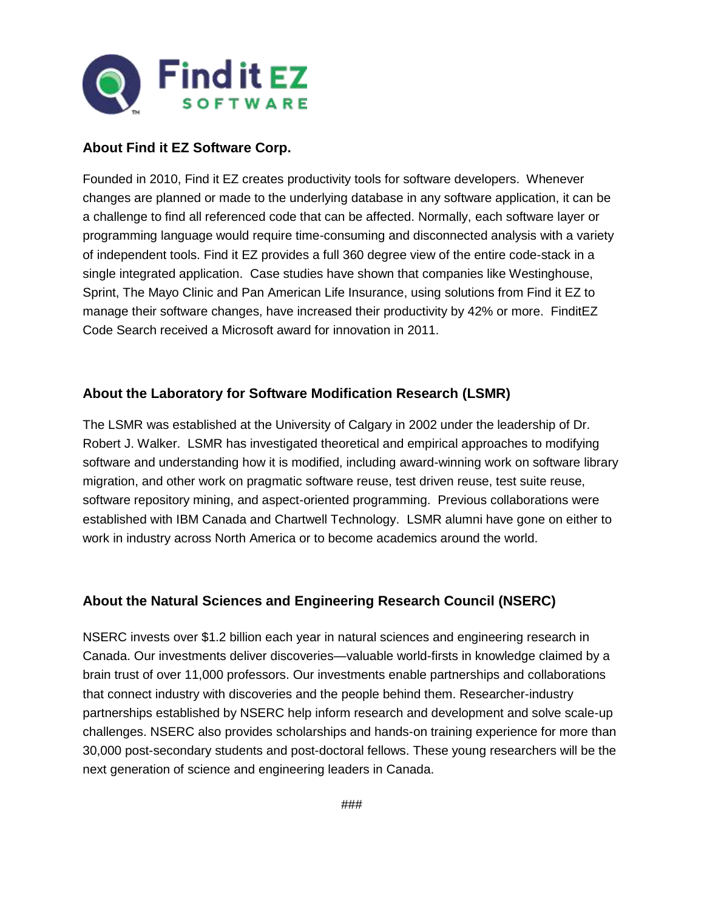

#### **About Find it EZ Software Corp.**

Founded in 2010, Find it EZ creates productivity tools for software developers. Whenever changes are planned or made to the underlying database in any software application, it can be a challenge to find all referenced code that can be affected. Normally, each software layer or programming language would require time-consuming and disconnected analysis with a variety of independent tools. Find it EZ provides a full 360 degree view of the entire code-stack in a single integrated application. Case studies have shown that companies like Westinghouse, Sprint, The Mayo Clinic and Pan American Life Insurance, using solutions from Find it EZ to manage their software changes, have increased their productivity by 42% or more. FinditEZ Code Search received a Microsoft award for innovation in 2011.

#### **About the Laboratory for Software Modification Research (LSMR)**

The LSMR was established at the University of Calgary in 2002 under the leadership of Dr. Robert J. Walker. LSMR has investigated theoretical and empirical approaches to modifying software and understanding how it is modified, including award-winning work on software library migration, and other work on pragmatic software reuse, test driven reuse, test suite reuse, software repository mining, and aspect-oriented programming. Previous collaborations were established with IBM Canada and Chartwell Technology. LSMR alumni have gone on either to work in industry across North America or to become academics around the world.

### **About the Natural Sciences and Engineering Research Council (NSERC)**

NSERC invests over \$1.2 billion each year in natural sciences and engineering research in Canada. Our investments deliver discoveries—valuable world-firsts in knowledge claimed by a brain trust of over 11,000 professors. Our investments enable partnerships and collaborations that connect industry with discoveries and the people behind them. Researcher-industry partnerships established by NSERC help inform research and development and solve scale-up challenges. NSERC also provides scholarships and hands-on training experience for more than 30,000 post-secondary students and post-doctoral fellows. These young researchers will be the next generation of science and engineering leaders in Canada.